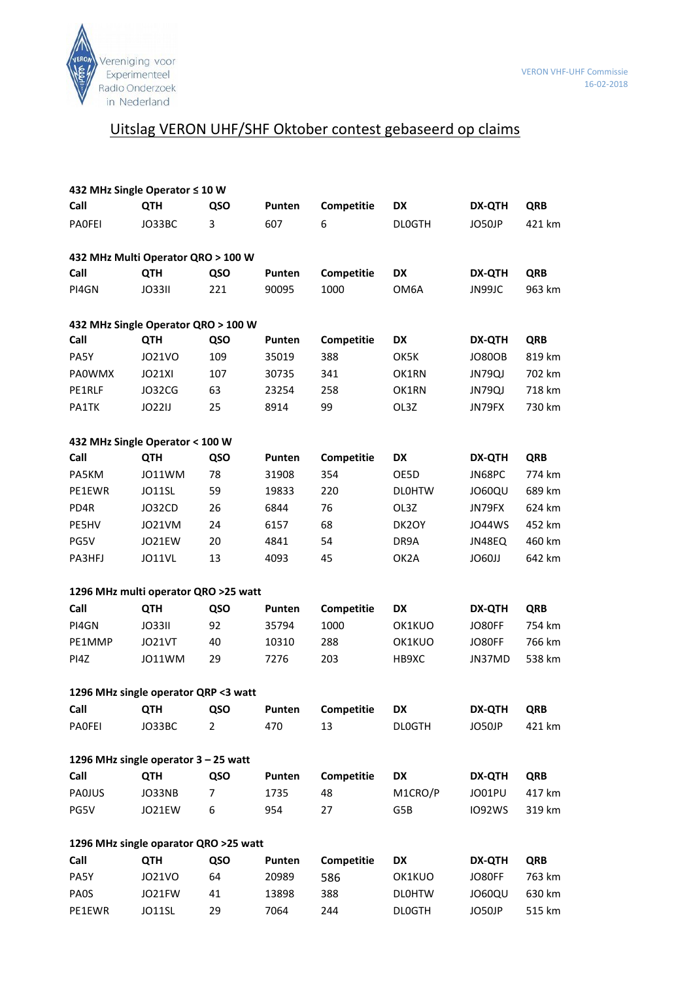

## Uitslag VERON UHF/SHF Oktober contest gebaseerd op claims

| 432 MHz Single Operator ≤ 10 W        |               |                |        |            |               |               |            |  |  |  |
|---------------------------------------|---------------|----------------|--------|------------|---------------|---------------|------------|--|--|--|
| Call                                  | <b>QTH</b>    | QSO            | Punten | Competitie | DX            | <b>DX-QTH</b> | <b>QRB</b> |  |  |  |
| PAOFEI                                | JO33BC        | 3              | 607    | 6          | <b>DLOGTH</b> | JO50JP        | 421 km     |  |  |  |
| 432 MHz Multi Operator QRO > 100 W    |               |                |        |            |               |               |            |  |  |  |
| Call                                  | <b>QTH</b>    | QSO            | Punten | Competitie | <b>DX</b>     | <b>DX-QTH</b> | <b>QRB</b> |  |  |  |
| PI4GN                                 | <b>JO33II</b> | 221            | 90095  | 1000       | OM6A          | JN99JC        | 963 km     |  |  |  |
| 432 MHz Single Operator QRO > 100 W   |               |                |        |            |               |               |            |  |  |  |
| Call                                  | <b>QTH</b>    | QSO            | Punten | Competitie | <b>DX</b>     | <b>DX-QTH</b> | <b>QRB</b> |  |  |  |
| PA5Y                                  | JO21VO        | 109            | 35019  | 388        | OK5K          | <b>JO80OB</b> | 819 km     |  |  |  |
| <b>PAOWMX</b>                         | JO21XI        | 107            | 30735  | 341        | OK1RN         | JN79QJ        | 702 km     |  |  |  |
| PE1RLF                                | JO32CG        | 63             | 23254  | 258        | OK1RN         | JN79QJ        | 718 km     |  |  |  |
| PA1TK                                 | <b>JO22IJ</b> | 25             | 8914   | 99         | OL3Z          | JN79FX        | 730 km     |  |  |  |
| 432 MHz Single Operator < 100 W       |               |                |        |            |               |               |            |  |  |  |
| Call                                  | <b>QTH</b>    | QSO            | Punten | Competitie | DX            | <b>DX-QTH</b> | <b>QRB</b> |  |  |  |
| PA5KM                                 | JO11WM        | 78             | 31908  | 354        | OE5D          | JN68PC        | 774 km     |  |  |  |
| PE1EWR                                | JO11SL        | 59             | 19833  | 220        | <b>DLOHTW</b> | JO60QU        | 689 km     |  |  |  |
| PD4R                                  | JO32CD        | 26             | 6844   | 76         | OL3Z          | JN79FX        | 624 km     |  |  |  |
| PE5HV                                 | JO21VM        | 24             | 6157   | 68         | DK2OY         | <b>JO44WS</b> | 452 km     |  |  |  |
| PG5V                                  | JO21EW        | 20             | 4841   | 54         | DR9A          | JN48EQ        | 460 km     |  |  |  |
| PA3HFJ                                | JO11VL        | 13             | 4093   | 45         | OK2A          | <b>106011</b> | 642 km     |  |  |  |
| 1296 MHz multi operator QRO >25 watt  |               |                |        |            |               |               |            |  |  |  |
| Call                                  | <b>QTH</b>    | QSO            | Punten | Competitie | <b>DX</b>     | <b>DX-QTH</b> | <b>QRB</b> |  |  |  |
| PI4GN                                 | JO33II        | 92             | 35794  | 1000       | OK1KUO        | JO80FF        | 754 km     |  |  |  |
| PE1MMP                                | JO21VT        | 40             | 10310  | 288        | OK1KUO        | JO80FF        | 766 km     |  |  |  |
| PI4Z                                  | JO11WM        | 29             | 7276   | 203        | HB9XC         | JN37MD        | 538 km     |  |  |  |
| 1296 MHz single operator QRP <3 watt  |               |                |        |            |               |               |            |  |  |  |
| Call                                  | QTH           | <b>QSO</b>     | Punten | Competitie | DX            | <b>DX-QTH</b> | <b>QRB</b> |  |  |  |
| <b>PAOFEI</b>                         | JO33BC        | $\overline{2}$ | 470    | 13         | <b>DLOGTH</b> | JO50JP        | 421 km     |  |  |  |
| 1296 MHz single operator 3 - 25 watt  |               |                |        |            |               |               |            |  |  |  |
| Call                                  | <b>QTH</b>    | QSO            | Punten | Competitie | DX            | <b>DX-QTH</b> | <b>QRB</b> |  |  |  |
| <b>PAOJUS</b>                         | JO33NB        | $\overline{7}$ | 1735   | 48         | M1CRO/P       | JO01PU        | 417 km     |  |  |  |
| PG5V                                  | JO21EW        | 6              | 954    | 27         | G5B           | <b>IO92WS</b> | 319 km     |  |  |  |
| 1296 MHz single oparator QRO >25 watt |               |                |        |            |               |               |            |  |  |  |
| Call                                  | <b>QTH</b>    | QSO            | Punten | Competitie | DX            | <b>DX-QTH</b> | <b>QRB</b> |  |  |  |
| PA5Y                                  | J021VO        | 64             | 20989  | 586        | OK1KUO        | JO80FF        | 763 km     |  |  |  |
| PAOS                                  | JO21FW        | 41             | 13898  | 388        | <b>DLOHTW</b> | <b>JO60QU</b> | 630 km     |  |  |  |
| PE1EWR                                | JO11SL        | 29             | 7064   | 244        | <b>DLOGTH</b> | JO50JP        | 515 km     |  |  |  |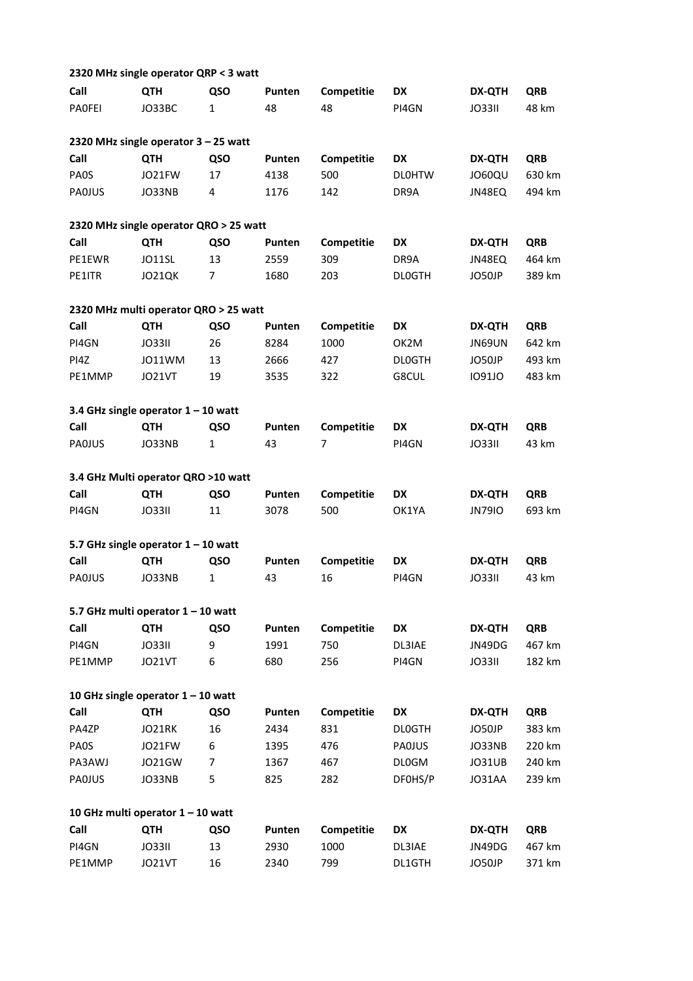|                                       | 2320 MHz single operator QRP < 3 watt  |                |        |            |                   |               |            |  |
|---------------------------------------|----------------------------------------|----------------|--------|------------|-------------------|---------------|------------|--|
| Call                                  | <b>QTH</b>                             | QSO            | Punten | Competitie | DX                | <b>DX-QTH</b> | <b>QRB</b> |  |
| PAOFEI                                | JO33BC                                 | 1              | 48     | 48         | PI4GN             | <b>JO33II</b> | 48 km      |  |
|                                       | 2320 MHz single operator 3 - 25 watt   |                |        |            |                   |               |            |  |
| Call                                  | QTH                                    | QSO            | Punten | Competitie | <b>DX</b>         | <b>DX-QTH</b> | <b>QRB</b> |  |
| <b>PAOS</b>                           | JO21FW                                 | 17             | 4138   | 500        | <b>DLOHTW</b>     | JO60QU        | 630 km     |  |
| PAOJUS                                | JO33NB                                 | 4              | 1176   | 142        | DR9A              | JN48EQ        | 494 km     |  |
|                                       | 2320 MHz single operator QRO > 25 watt |                |        |            |                   |               |            |  |
| Call                                  | <b>QTH</b>                             | QSO            | Punten | Competitie | <b>DX</b>         | <b>DX-QTH</b> | <b>QRB</b> |  |
| PE1EWR                                | JO11SL                                 | 13             | 2559   | 309        | DR9A              | JN48EQ        | 464 km     |  |
| PE1ITR                                | JO21QK                                 | $\overline{7}$ | 1680   | 203        | <b>DLOGTH</b>     | JO50JP        | 389 km     |  |
| 2320 MHz multi operator QRO > 25 watt |                                        |                |        |            |                   |               |            |  |
| Call                                  | <b>QTH</b>                             | QSO            | Punten | Competitie | <b>DX</b>         | <b>DX-QTH</b> | <b>QRB</b> |  |
| PI4GN                                 | <b>JO33II</b>                          | 26             | 8284   | 1000       | OK <sub>2</sub> M | JN69UN        | 642 km     |  |
| PI4Z                                  | JO11WM                                 | 13             | 2666   | 427        | <b>DLOGTH</b>     | JO50JP        | 493 km     |  |
| PE1MMP                                | JO21VT                                 | 19             | 3535   | 322        | G8CUL             | <b>IO91JO</b> | 483 km     |  |
|                                       | 3.4 GHz single operator $1 - 10$ watt  |                |        |            |                   |               |            |  |
| Call                                  | <b>QTH</b>                             | QSO            | Punten | Competitie | DX                | <b>DX-QTH</b> | <b>QRB</b> |  |
| PAOJUS                                | JO33NB                                 | $\mathbf{1}$   | 43     | 7          | PI4GN             | <b>JO33II</b> | 43 km      |  |
|                                       | 3.4 GHz Multi operator QRO >10 watt    |                |        |            |                   |               |            |  |
| Call                                  | <b>QTH</b>                             | QSO            | Punten | Competitie | <b>DX</b>         | <b>DX-QTH</b> | <b>QRB</b> |  |
| PI4GN                                 | <b>JO33II</b>                          | 11             | 3078   | 500        | OK1YA             | <b>JN79IO</b> | 693 km     |  |
|                                       | 5.7 GHz single operator $1 - 10$ watt  |                |        |            |                   |               |            |  |
| Call                                  | QTH                                    | QSO            | Punten | Competitie | DX                | <b>DX-QTH</b> | <b>QRB</b> |  |
| PAOJUS                                | JO33NB                                 | $\mathbf{1}$   | 43     | 16         | PI4GN             | <b>JO33II</b> | 43 km      |  |
|                                       | 5.7 GHz multi operator 1 - 10 watt     |                |        |            |                   |               |            |  |
| Call                                  | <b>QTH</b>                             | QSO            | Punten | Competitie | DX                | <b>DX-QTH</b> | <b>QRB</b> |  |
| PI4GN                                 | <b>JO33II</b>                          | 9              | 1991   | 750        | DL3IAE            | JN49DG        | 467 km     |  |
| PE1MMP                                | JO21VT                                 | 6              | 680    | 256        | PI4GN             | <b>JO33II</b> | 182 km     |  |
|                                       | 10 GHz single operator $1 - 10$ watt   |                |        |            |                   |               |            |  |
| Call                                  | <b>QTH</b>                             | QSO            | Punten | Competitie | DX                | <b>DX-QTH</b> | <b>QRB</b> |  |
| PA4ZP                                 | JO21RK                                 | 16             | 2434   | 831        | <b>DLOGTH</b>     | JO50JP        | 383 km     |  |
| <b>PAOS</b>                           | JO21FW                                 | 6              | 1395   | 476        | PAOJUS            | JO33NB        | 220 km     |  |
| PA3AWJ                                | JO21GW                                 | 7              | 1367   | 467        | <b>DL0GM</b>      | JO31UB        | 240 km     |  |
| PAOJUS                                | JO33NB                                 | 5              | 825    | 282        | DF0HS/P           | JO31AA        | 239 km     |  |
|                                       | 10 GHz multi operator 1 - 10 watt      |                |        |            |                   |               |            |  |
| Call                                  | <b>QTH</b>                             | QSO            | Punten | Competitie | <b>DX</b>         | <b>DX-QTH</b> | <b>QRB</b> |  |
| PI4GN                                 | <b>JO33II</b>                          | 13             | 2930   | 1000       | DL3IAE            | JN49DG        | 467 km     |  |
| PE1MMP                                | JO21VT                                 | 16             | 2340   | 799        | DL1GTH            | JO50JP        | 371 km     |  |
|                                       |                                        |                |        |            |                   |               |            |  |